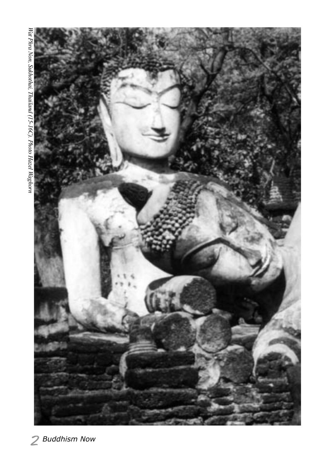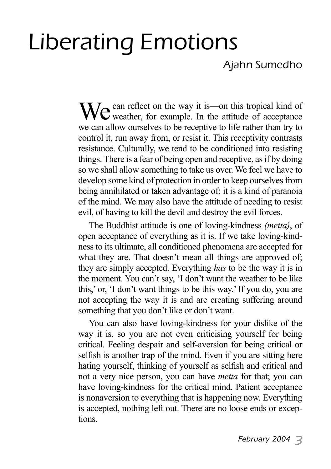# Liberating Emotions

### Ajahn Sumedho

We can reflect on the way it is—on this tropical kind of weather, for example. In the attitude of acceptance we can allow ourselves to be receptive to life rather than try to control it, run away from, or resist it. This receptivity contrasts resistance. Culturally, we tend to be conditioned into resisting things. There is a fear of being open and receptive, as if by doing so we shall allow something to take us over. We feel we have to develop some kind of protection in order to keep ourselves from being annihilated or taken advantage of; it is a kind of paranoia of the mind. We may also have the attitude of needing to resist evil, of having to kill the devil and destroy the evil forces.

The Buddhist attitude is one of loving-kindness *(metta)*, of open acceptance of everything as it is. If we take loving-kindness to its ultimate, all conditioned phenomena are accepted for what they are. That doesn't mean all things are approved of: they are simply accepted. Everything *has* to be the way it is in the moment. You can't say, 'I don't want the weather to be like this,' or, 'I don't want things to be this way.' If you do, you are not accepting the way it is and are creating suffering around something that you don't like or don't want.

You can also have loving-kindness for your dislike of the way it is, so you are not even criticising yourself for being critical. Feeling despair and self-aversion for being critical or selfish is another trap of the mind. Even if you are sitting here hating yourself, thinking of yourself as selfish and critical and not a very nice person, you can have *metta* for that; you can have loving-kindness for the critical mind. Patient acceptance is nonaversion to everything that is happening now. Everything is accepted, nothing left out. There are no loose ends or exceptions.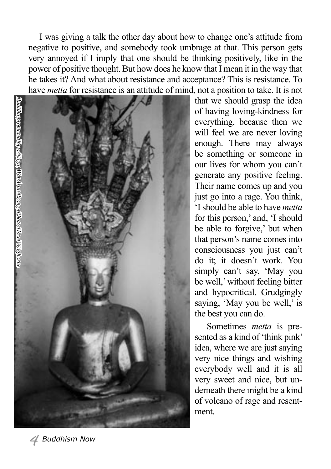I was giving a talk the other day about how to change one's attitude from negative to positive, and somebody took umbrage at that. This person gets very annoyed if I imply that one should be thinking positively, like in the power of positive thought. But how does he know that I mean it in the way that he takes it? And what about resistance and acceptance? This is resistance. To have *metta* for resistance is an attitude of mind, not a position to take. It is not



that we should grasp the idea of having loving-kindness for everything, because then we will feel we are never loving enough. There may always be something or someone in our lives for whom you can't generate any positive feeling. Their name comes up and you just go into a rage. You think, 'I should be able to have *metta* for this person,' and, 'I should be able to forgive,' but when that person's name comes into consciousness you just can't do it; it doesn't work. You simply can't say, 'May you be well,' without feeling bitter and hypocritical. Grudgingly saying, 'May you be well,' is the best you can do.

 Sometimes *metta* is presented as a kind of 'think pink' idea, where we are just saying very nice things and wishing everybody well and it is all very sweet and nice, but underneath there might be a kind of volcano of rage and resentment.

*February 2004 Buddhism Now* **February 2004** 5  $\frac{1}{2}$  5  $\frac{1}{2}$  5  $\frac{1}{2}$  5  $\frac{1}{2}$  5  $\frac{1}{2}$  5  $\frac{1}{2}$  5  $\frac{1}{2}$  5  $\frac{1}{2}$  5  $\frac{1}{2}$  5  $\frac{1}{2}$  5  $\frac{1}{2}$  5  $\frac{1}{2}$  5  $\frac{1}{2}$  5  $\frac{1}{2}$  5  $\frac{1$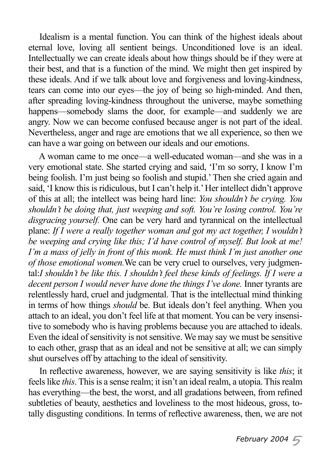Idealism is a mental function. You can think of the highest ideals about eternal love, loving all sentient beings. Unconditioned love is an ideal. Intellectually we can create ideals about how things should be if they were at their best, and that is a function of the mind. We might then get inspired by these ideals. And if we talk about love and forgiveness and loving-kindness, tears can come into our eyes—the joy of being so high-minded. And then, after spreading loving-kindness throughout the universe, maybe something happens—somebody slams the door, for example—and suddenly we are angry. Now we can become confused because anger is not part of the ideal. Nevertheless, anger and rage are emotions that we all experience, so then we can have a war going on between our ideals and our emotions.

A woman came to me once—a well-educated woman—and she was in a very emotional state. She started crying and said, 'I'm so sorry, I know I'm being foolish. I'm just being so foolish and stupid.' Then she cried again and said, 'I know this is ridiculous, but I can't help it.' Her intellect didn't approve of this at all; the intellect was being hard line: *You shouldn't be crying. You shouldn't be doing that, just weeping and soft. You're losing control. You're disgracing yourself.* One can be very hard and tyrannical on the intellectual plane: *If I were a really together woman and got my act together, I wouldn't be weeping and crying like this; I'd have control of myself. But look at me! I'm a mass of jelly in front of this monk. He must think I'm just another one of those emotional women.*We can be very cruel to ourselves, very judgmental:*I shouldn't be like this. I shouldn't feel these kinds of feelings. If I were a decent person I would never have done the things I've done.* Inner tyrants are relentlessly hard, cruel and judgmental. That is the intellectual mind thinking in terms of how things *should* be. But ideals don't feel anything. When you attach to an ideal, you don't feel life at that moment. You can be very insensitive to somebody who is having problems because you are attached to ideals. Even the ideal of sensitivity is not sensitive. We may say we must be sensitive to each other, grasp that as an ideal and not be sensitive at all; we can simply shut ourselves off by attaching to the ideal of sensitivity.

In reflective awareness, however, we are saying sensitivity is like *this*; it feels like *this*. This is a sense realm; it isn't an ideal realm, a utopia. This realm has everything—the best, the worst, and all gradations between, from refined subtleties of beauty, aesthetics and loveliness to the most hideous, gross, totally disgusting conditions. In terms of reflective awareness, then, we are not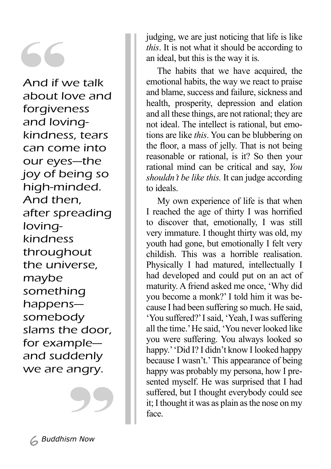And if v<br>
And if v<br>
about k<br>
forgiver<br>
and lov And if we talk about love and forgiveness and lovingkindness, tears can come into our eyes—the joy of being so high-minded. And then, after spreading lovingkindness throughout the universe, maybe something happens somebody slams the door, for example and suddenly we are angry.

judging, we are just noticing that life is like *this*. It is not what it should be according to an ideal, but this is the way it is.

The habits that we have acquired, the emotional habits, the way we react to praise and blame, success and failure, sickness and health, prosperity, depression and elation and all these things, are not rational; they are not ideal. The intellect is rational, but emotions are like *this*. You can be blubbering on the floor, a mass of jelly. That is not being reasonable or rational, is it? So then your rational mind can be critical and say, *You shouldn't be like this.* It can judge according to ideals.

My own experience of life is that when I reached the age of thirty I was horrified to discover that, emotionally, I was still very immature. I thought thirty was old, my youth had gone, but emotionally I felt very childish. This was a horrible realisation. Physically I had matured, intellectually I had developed and could put on an act of maturity. A friend asked me once, 'Why did you become a monk?' I told him it was because I had been suffering so much. He said, 'You suffered?' I said, 'Yeah, I was suffering all the time.' He said, 'You never looked like you were suffering. You always looked so happy.' 'Did I? I didn't know I looked happy because I wasn't.' This appearance of being happy was probably my persona, how I presented myself. He was surprised that I had suffered, but I thought everybody could see it; I thought it was as plain as the nose on my face.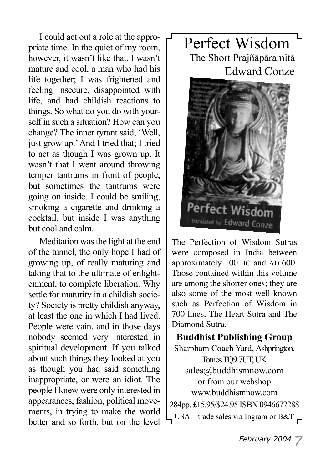I could act out a role at the appropriate time. In the quiet of my room, however, it wasn't like that. I wasn't mature and cool, a man who had his life together; I was frightened and feeling insecure, disappointed with life, and had childish reactions to things. So what do you do with yourself in such a situation? How can you change? The inner tyrant said, 'Well, just grow up.' And I tried that; I tried to act as though I was grown up. It wasn't that I went around throwing temper tantrums in front of people, but sometimes the tantrums were going on inside. I could be smiling, smoking a cigarette and drinking a cocktail, but inside I was anything but cool and calm.

Meditation was the light at the end of the tunnel, the only hope I had of growing up, of really maturing and taking that to the ultimate of enlightenment, to complete liberation. Why settle for maturity in a childish society? Society is pretty childish anyway, at least the one in which I had lived. People were vain, and in those days nobody seemed very interested in spiritual development. If you talked about such things they looked at you as though you had said something inappropriate, or were an idiot. The people I knew were only interested in appearances, fashion, political movements, in trying to make the world better and so forth, but on the level

## Perfect Wisdom The Short Prajñāpāramitā Edward Conze



The Perfection of Wisdom Sutras were composed in India between approximately 100 BC and AD 600. Those contained within this volume are among the shorter ones; they are also some of the most well known such as Perfection of Wisdom in 700 lines, The Heart Sutra and The Diamond Sutra.

**Buddhist Publishing Group** Sharpham Coach Yard, Ashprington, Totnes TQ9 7UT, UK sales@buddhismnow.com or from our webshop www.buddhismnow.com 284pp. £15.95/\$24.95 ISBN 0946672288 USA—trade sales via Ingram or B&T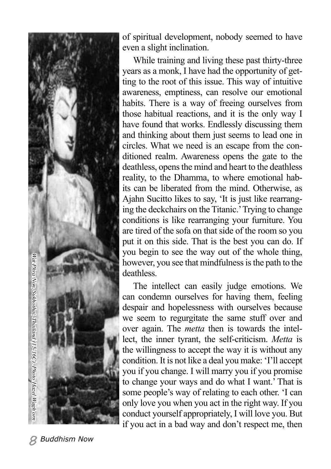

of spiritual development, nobody seemed to have even a slight inclination.

While training and living these past thirty-three years as a monk, I have had the opportunity of getting to the root of this issue. This way of intuitive awareness, emptiness, can resolve our emotional habits. There is a way of freeing ourselves from those habitual reactions, and it is the only way I have found that works. Endlessly discussing them and thinking about them just seems to lead one in circles. What we need is an escape from the conditioned realm. Awareness opens the gate to the deathless, opens the mind and heart to the deathless reality, to the Dhamma, to where emotional habits can be liberated from the mind. Otherwise, as Ajahn Sucitto likes to say, 'It is just like rearranging the deckchairs on the Titanic.' Trying to change conditions is like rearranging your furniture. You are tired of the sofa on that side of the room so you put it on this side. That is the best you can do. If you begin to see the way out of the whole thing, however, you see that mindfulness is the path to the deathless.

The intellect can easily judge emotions. We can condemn ourselves for having them, feeling despair and hopelessness with ourselves because we seem to regurgitate the same stuff over and over again. The *metta* then is towards the intellect, the inner tyrant, the self-criticism. *Metta* is the willingness to accept the way it is without any condition. It is not like a deal you make: 'I'll accept you if you change. I will marry you if you promise to change your ways and do what I want.' That is some people's way of relating to each other. 'I can only love you when you act in the right way. If you conduct yourself appropriately, I will love you. But if you act in a bad way and don't respect me, then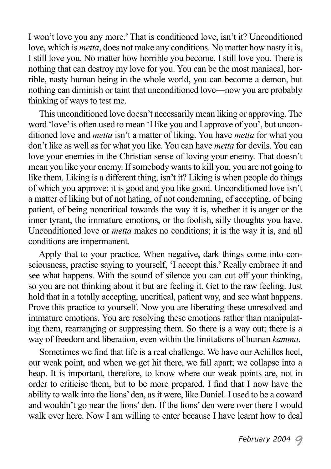I won't love you any more.' That is conditioned love, isn't it? Unconditioned love, which is *metta*, does not make any conditions. No matter how nasty it is, I still love you. No matter how horrible you become, I still love you. There is nothing that can destroy my love for you. You can be the most maniacal, horrible, nasty human being in the whole world, you can become a demon, but nothing can diminish or taint that unconditioned love—now you are probably thinking of ways to test me.

This unconditioned love doesn't necessarily mean liking or approving. The word 'love' is often used to mean 'I like you and I approve of you', but unconditioned love and *metta* isn't a matter of liking. You have *metta* for what you don't like as well as for what you like. You can have *metta* for devils. You can love your enemies in the Christian sense of loving your enemy. That doesn't mean you like your enemy. If somebody wants to kill you, you are not going to like them. Liking is a different thing, isn't it? Liking is when people do things of which you approve; it is good and you like good. Unconditioned love isn't a matter of liking but of not hating, of not condemning, of accepting, of being patient, of being noncritical towards the way it is, whether it is anger or the inner tyrant, the immature emotions, or the foolish, silly thoughts you have. Unconditioned love or *metta* makes no conditions; it is the way it is, and all conditions are impermanent.

Apply that to your practice. When negative, dark things come into consciousness, practise saying to yourself, 'I accept this.' Really embrace it and see what happens. With the sound of silence you can cut off your thinking, so you are not thinking about it but are feeling it. Get to the raw feeling. Just hold that in a totally accepting, uncritical, patient way, and see what happens. Prove this practice to yourself. Now you are liberating these unresolved and immature emotions. You are resolving these emotions rather than manipulating them, rearranging or suppressing them. So there is a way out; there is a way of freedom and liberation, even within the limitations of human *kamma*.

Sometimes we find that life is a real challenge. We have our Achilles heel, our weak point, and when we get hit there, we fall apart; we collapse into a heap. It is important, therefore, to know where our weak points are, not in order to criticise them, but to be more prepared. I find that I now have the ability to walk into the lions' den, as it were, like Daniel. I used to be a coward and wouldn't go near the lions' den. If the lions' den were over there I would walk over here. Now I am willing to enter because I have learnt how to deal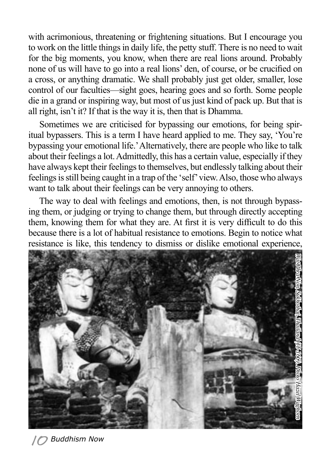with acrimonious, threatening or frightening situations. But I encourage you to work on the little things in daily life, the petty stuff. There is no need to wait for the big moments, you know, when there are real lions around. Probably none of us will have to go into a real lions' den, of course, or be crucified on a cross, or anything dramatic. We shall probably just get older, smaller, lose control of our faculties—sight goes, hearing goes and so forth. Some people die in a grand or inspiring way, but most of us just kind of pack up. But that is all right, isn't it? If that is the way it is, then that is Dhamma.

Sometimes we are criticised for bypassing our emotions, for being spiritual bypassers. This is a term I have heard applied to me. They say, 'You're bypassing your emotional life.' Alternatively, there are people who like to talk about their feelings a lot. Admittedly, this has a certain value, especially if they have always kept their feelings to themselves, but endlessly talking about their feelings is still being caught in a trap of the 'self' view. Also, those who always want to talk about their feelings can be very annoying to others.

The way to deal with feelings and emotions, then, is not through bypassing them, or judging or trying to change them, but through directly accepting them, knowing them for what they are. At first it is very difficult to do this because there is a lot of habitual resistance to emotions. Begin to notice what resistance is like, this tendency to dismiss or dislike emotional experience,

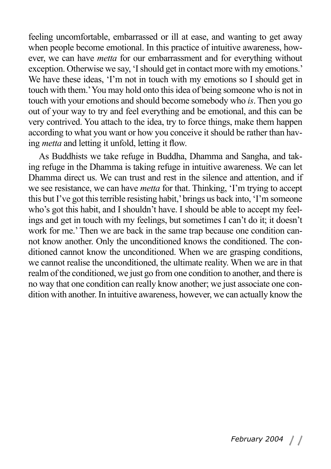feeling uncomfortable, embarrassed or ill at ease, and wanting to get away when people become emotional. In this practice of intuitive awareness, however, we can have *metta* for our embarrassment and for everything without exception. Otherwise we say, 'I should get in contact more with my emotions.' We have these ideas, 'I'm not in touch with my emotions so I should get in touch with them.' You may hold onto this idea of being someone who is not in touch with your emotions and should become somebody who *is*. Then you go out of your way to try and feel everything and be emotional, and this can be very contrived. You attach to the idea, try to force things, make them happen according to what you want or how you conceive it should be rather than having *metta* and letting it unfold, letting it flow.

As Buddhists we take refuge in Buddha, Dhamma and Sangha, and taking refuge in the Dhamma is taking refuge in intuitive awareness. We can let Dhamma direct us. We can trust and rest in the silence and attention, and if we see resistance, we can have *metta* for that. Thinking, 'I'm trying to accept this but I've got this terrible resisting habit,' brings us back into, 'I'm someone who's got this habit, and I shouldn't have. I should be able to accept my feelings and get in touch with my feelings, but sometimes I can't do it; it doesn't work for me.' Then we are back in the same trap because one condition cannot know another. Only the unconditioned knows the conditioned. The conditioned cannot know the unconditioned. When we are grasping conditions, we cannot realise the unconditioned, the ultimate reality. When we are in that realm of the conditioned, we just go from one condition to another, and there is no way that one condition can really know another; we just associate one condition with another. In intuitive awareness, however, we can actually know the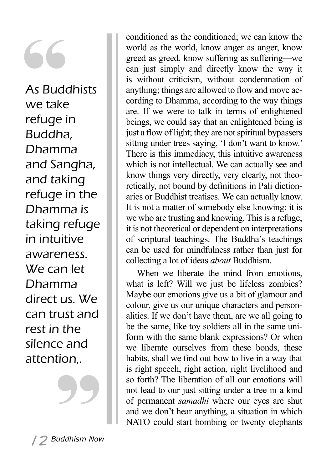S<br>
As Buddh<br>
we take<br>
refuge in As Buddhists we take Buddha, Dhamma and Sangha, and taking refuge in the Dhamma is taking refuge in intuitive awareness. We can let Dhamma direct us. We can trust and rest in the silence and attention,.

conditioned as the conditioned; we can know the world as the world, know anger as anger, know greed as greed, know suffering as suffering—we can just simply and directly know the way it is without criticism, without condemnation of anything; things are allowed to flow and move according to Dhamma, according to the way things are. If we were to talk in terms of enlightened beings, we could say that an enlightened being is just a flow of light; they are not spiritual bypassers sitting under trees saying, 'I don't want to know.' There is this immediacy, this intuitive awareness which is not intellectual. We can actually see and know things very directly, very clearly, not theoretically, not bound by definitions in Pali dictionaries or Buddhist treatises. We can actually know. It is not a matter of somebody else knowing; it is we who are trusting and knowing. This is a refuge; it is not theoretical or dependent on interpretations of scriptural teachings. The Buddha's teachings can be used for mindfulness rather than just for collecting a lot of ideas *about* Buddhism.

When we liberate the mind from emotions, what is left? Will we just be lifeless zombies? Maybe our emotions give us a bit of glamour and colour, give us our unique characters and personalities. If we don't have them, are we all going to be the same, like toy soldiers all in the same uniform with the same blank expressions? Or when we liberate ourselves from these bonds, these habits, shall we find out how to live in a way that is right speech, right action, right livelihood and so forth? The liberation of all our emotions will not lead to our just sitting under a tree in a kind of permanent *samadhi* where our eyes are shut and we don't hear anything, a situation in which NATO could start bombing or twenty elephants